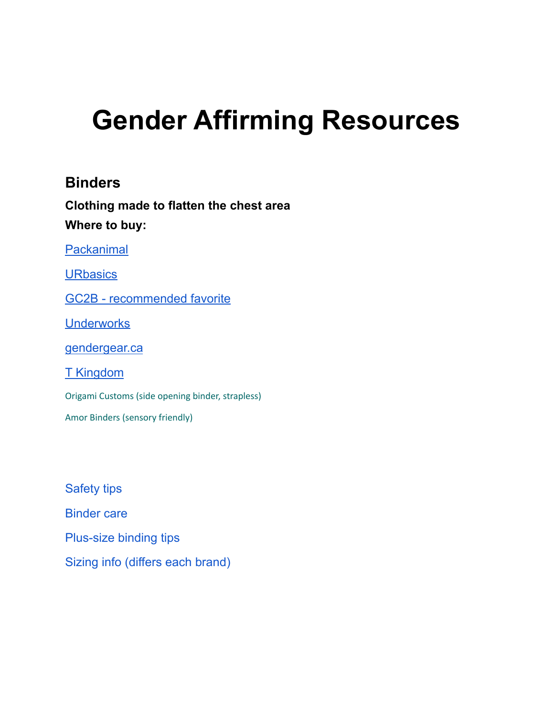# **Gender Affirming Resources**

## **Binders**

**Clothing made to flatten the chest area Where to buy:**

[Packanimal](https://packanimalcompany.com/)

**[URbasics](https://urbasics.ca/)** 

[GC2B - recommended favorite](https://www.gc2b.co/collections)

**[Underworks](https://www.underworks.com/)** 

gendergear.ca

[T Kingdom](http://www.t-kingdom.com/index.php/product)

Origami Customs (side opening binder, strapless)

Amor Binders (sensory friendly)

[Safety tips](https://gc2b.zendesk.com/hc/en-us/sections/204527588-Safety) [Binder care](https://gc2b.zendesk.com/hc/en-us/articles/220794327-How-do-I-wash-my-binder) [Plus-size binding tips](https://www.bustle.com/articles/177225-9-tips-for-chest-binding-as-a-plus-size-person) [Sizing info](https://www.gc2b.co/pages/sizing) (differs each brand)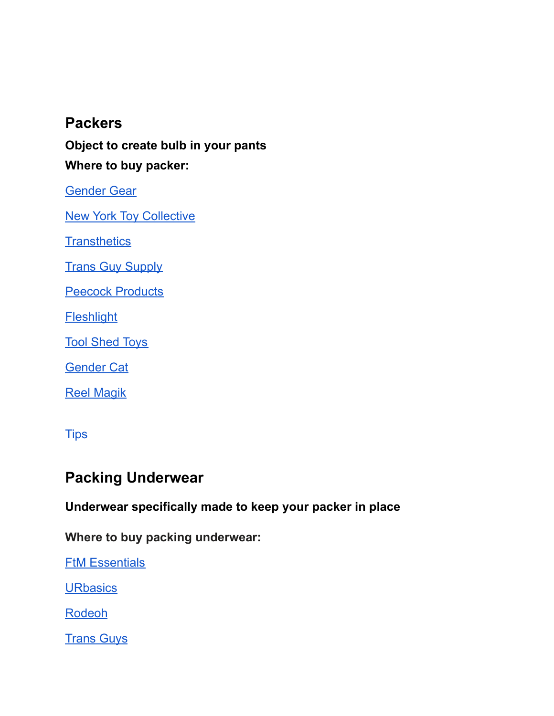## **Packers**

**Object to create bulb in your pants Where to buy packer:**

[Gender Gear](https://www.gendergear.ca/collections/packers-prosthetics)

**[New York Toy Collective](https://newyorktoycollective.com/product-category/silicone-packers/)** 

**[Transthetics](https://transthetics.com/)** 

**[Trans Guy Supply](https://transguysupply.com/collections/ftm-packers)** 

**[Peecock Products](https://peecockproducts.com/peecock)** 

**[Fleshlight](https://www.fleshlight.ca/collections/mr-limpy)** 

[Tool Shed Toys](https://www.toolshedtoys.com/gender-expression/packers/)

[Gender Cat](https://gendercat.com/collections/gendermender-packers-and-penis-prosthetics)

[Reel Magik](https://www.reelmagik.com/features-bp.html)

**[Tips](https://www.gendergear.ca/pages/all-about-packers)** 

## **Packing Underwear**

**Underwear specifically made to keep your packer in place**

**Where to buy packing underwear:**

**[FtM Essentials](https://www.ftmessentials.com/collections/packing-straps-underwear)** 

**URbasics** 

[Rodeoh](https://rodeoh.com/collections/ftm-gear)

**[Trans Guys](https://transguys.com/shop)**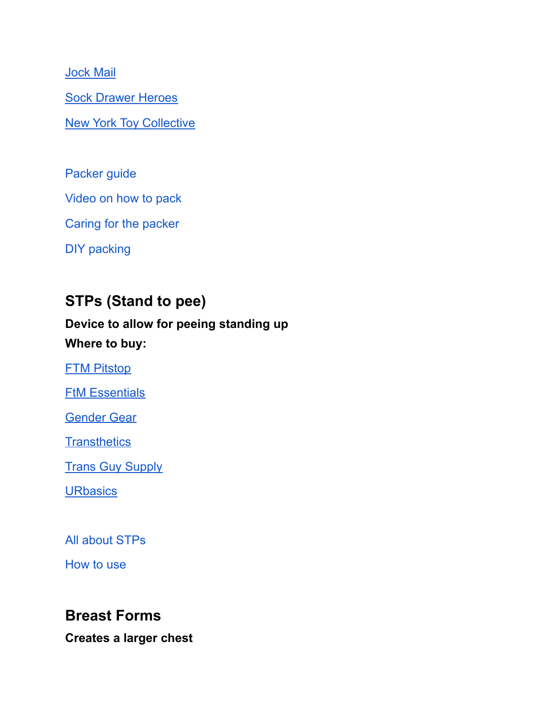[Jock Mail](https://www.jockmail.co/)

[Sock Drawer Heroes](https://sockdrawerheroes.com/collections/packing-underwear-pouches)

[New York Toy Collective](https://newyorktoycollective.com/product/packer-pouch-magnetic-closure/)

[Packer guide](https://ftm-guide.com/guide-to-packers-for-transmen/)

[Video on how to pack](https://www.youtube.com/watch?v=ybZmzzobMGM)

[Caring for the packer](https://transguysupply.com/blogs/news/how-to-care-for-your-packer)

[DIY packing](https://transgenderteensurvivalguide.tumblr.com/post/102182730245/How-do-you-pack-with-a-sock-and-please-dont-just)

# **STPs (Stand to pee)**

## **Device to allow for peeing standing up Where to buy:**

[FTM Pitstop](https://ftmpitstop.com/collections/all)

**[FtM Essentials](https://www.ftmessentials.com/collections/stp-devices)** 

[Gender Gear](https://www.gendergear.ca/collections/packers-prosthetics)

**[Transthetics](https://transthetics.com/product-category/ftm-stand-to-pee/)** 

**[Trans Guy Supply](https://transguysupply.com/collections/ftm-stp)** 

**[URbasics](https://urbasics.ca/)** 

[All about STPs](https://www.gendergear.ca/pages/all-about-stps)

[How to use](https://www.youtube.com/watch?v=DLkiTe0WZgk)

### **Breast Forms**

**Creates a larger chest**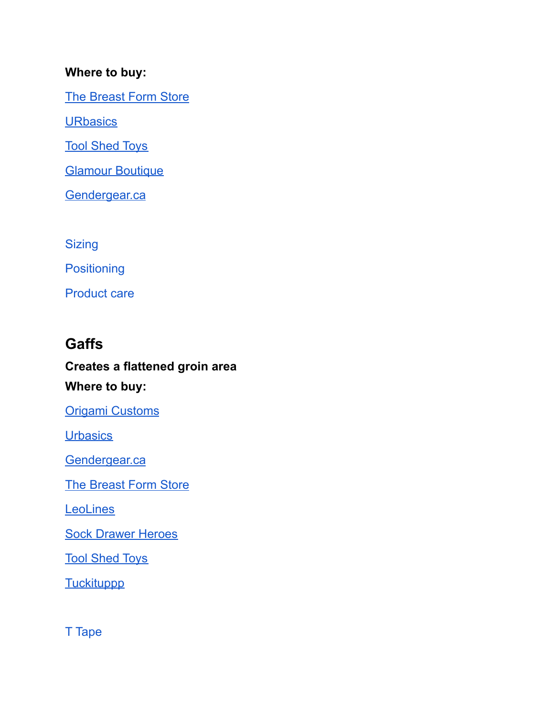#### **Where to buy:**

[The Breast Form Store](https://www.thebreastformstore.com/sleep-travel-oval-foam-breastforms.aspx)

**URbasics** 

[Tool Shed Toys](https://www.toolshedtoys.com/gender-expression/breast-forms/)

**[Glamour Boutique](https://www.glamourboutique.com/breast-forms)** 

[Gendergear.ca](https://www.gendergear.ca/)

**[Sizing](https://www.thebreastformstore.com/whats-my-bra-size.aspx)** 

**[Positioning](https://www.glamourboutique.com/transgender-breast-form-tips/position-breast-forms-29876)** 

[Product care](https://www.thebreastformstore.com/instructions-and-care-cards.aspx)

# **Gaffs**

# **Creates a flattened groin area Where to buy:**

[Origami Customs](https://origamicustoms.com/)

**[Urbasics](https://urbasics.ca/)** 

[Gendergear.ca](https://urbasics.ca/)

[The Breast Form Store](https://www.thebreastformstore.com/gaffs-for-crossdressing-gold-seal.aspx)

**[LeoLines](https://www.etsy.com/ca/market/leolines)** 

[Sock Drawer Heroes](https://sockdrawerheroes.com/collections/tucking)

[Tool Shed Toys](https://www.toolshedtoys.com/gender-expression/shapewear/)

**[Tuckituppp](https://www.tuckituppp.com/shop)** 

T [Tape](https://unclockable.com/pages/guide)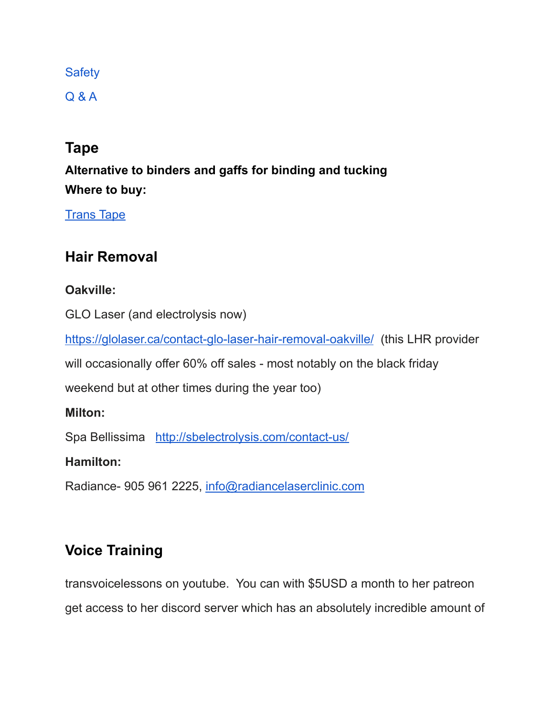#### **[Safety](https://www.healthline.com/health/transgender/tucking)**

[Q & A](https://www.buzzfeed.com/meredithtalusan/all-the-questions-you-had-about-tucking-but-were-afraid-to-a)

## **Tape**

**Alternative to binders and gaffs for binding and tucking Where to buy:**

**[Trans Tape](https://transtape.life/)** 

# **Hair Removal**

#### **Oakville:**

GLO Laser (and electrolysis now)

<https://glolaser.ca/contact-glo-laser-hair-removal-oakville/> (this LHR provider

will occasionally offer 60% off sales - most notably on the black friday

weekend but at other times during the year too)

#### **Milton:**

Spa Bellissima <http://sbelectrolysis.com/contact-us/>

#### **Hamilton:**

Radiance- 905 961 2225, [info@radiancelaserclinic.com](mailto:info@radiancelaserclinic.com)

# **Voice Training**

transvoicelessons on youtube. You can with \$5USD a month to her patreon get access to her discord server which has an absolutely incredible amount of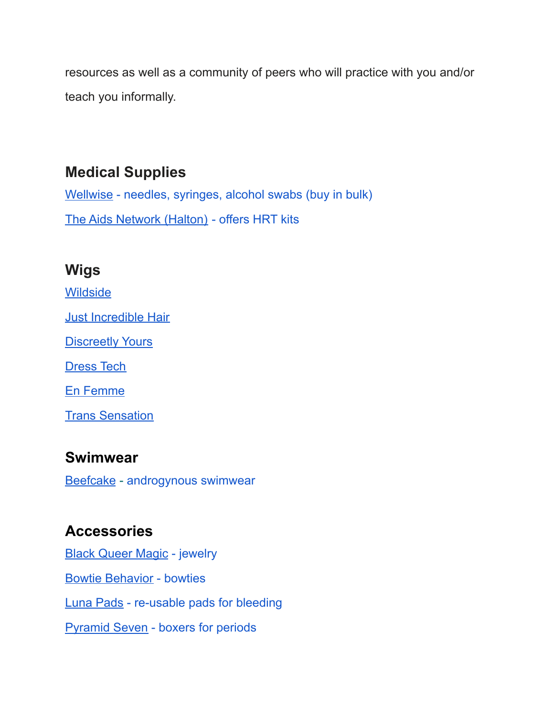resources as well as a community of peers who will practice with you and/or teach you informally.

# **Medical Supplies**

Wellwise [- needles, syringes, alcohol swabs \(buy in](https://www.wellwise.ca/en-ca) bulk) [The Aids Network \(Halton\)](https://aidsnetwork.ca/harm-reduction-supplies/) - offers HRT kits

# **Wigs**

**[Wildside](https://www.shopwildside.com/product-category/wigs/)** [Just Incredible Hair](https://www.justincrediblehairs.com/) **[Discreetly Yours](http://discreetlyyours.ca/#)** 

[Dress Tech](https://procrossdresser.com/)

[En Femme](https://enfemmestyle.com/)

**[Trans Sensation](https://www.transsensation.de/en/)** 

# **Swimwear**

[Beefcake](https://www.beefcakeswimwear.com/) - androgynous swimwear

# **Accessories**

[Black Queer Magic](https://bqmny.com/) - jewelry [Bowtie Behavior](https://www.bowtiebehavior.com/) - bowties Luna Pads [- re-usable pads for bleeding](https://lunapads.ca/) [Pyramid Seven](https://www.pyramidseven.com/) - boxers for periods